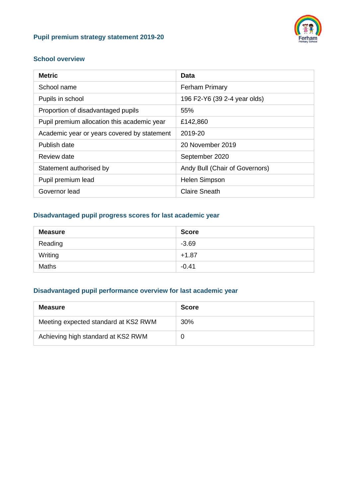### **Pupil premium strategy statement 2019-20**



#### **School overview**

| <b>Metric</b>                               | Data                           |
|---------------------------------------------|--------------------------------|
| School name                                 | <b>Ferham Primary</b>          |
| Pupils in school                            | 196 F2-Y6 (39 2-4 year olds)   |
| Proportion of disadvantaged pupils          | 55%                            |
| Pupil premium allocation this academic year | £142,860                       |
| Academic year or years covered by statement | 2019-20                        |
| Publish date                                | 20 November 2019               |
| Review date                                 | September 2020                 |
| Statement authorised by                     | Andy Bull (Chair of Governors) |
| Pupil premium lead                          | <b>Helen Simpson</b>           |
| Governor lead                               | <b>Claire Sneath</b>           |

### **Disadvantaged pupil progress scores for last academic year**

| <b>Measure</b> | <b>Score</b> |
|----------------|--------------|
| Reading        | $-3.69$      |
| Writing        | $+1.87$      |
| <b>Maths</b>   | $-0.41$      |

## **Disadvantaged pupil performance overview for last academic year**

| <b>Measure</b>                       | <b>Score</b> |
|--------------------------------------|--------------|
| Meeting expected standard at KS2 RWM | 30%          |
| Achieving high standard at KS2 RWM   |              |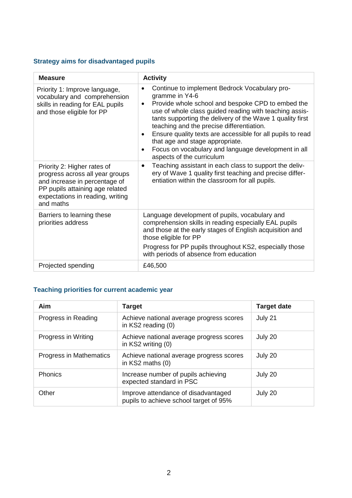## **Strategy aims for disadvantaged pupils**

| <b>Measure</b>                                                                                                                                                                      | <b>Activity</b>                                                                                                                                                                                                                                                                                                                                                                                                                                                                                                                   |
|-------------------------------------------------------------------------------------------------------------------------------------------------------------------------------------|-----------------------------------------------------------------------------------------------------------------------------------------------------------------------------------------------------------------------------------------------------------------------------------------------------------------------------------------------------------------------------------------------------------------------------------------------------------------------------------------------------------------------------------|
| Priority 1: Improve language,<br>vocabulary and comprehension<br>skills in reading for EAL pupils<br>and those eligible for PP                                                      | Continue to implement Bedrock Vocabulary pro-<br>$\bullet$<br>gramme in Y4-6<br>Provide whole school and bespoke CPD to embed the<br>$\bullet$<br>use of whole class guided reading with teaching assis-<br>tants supporting the delivery of the Wave 1 quality first<br>teaching and the precise differentiation.<br>Ensure quality texts are accessible for all pupils to read<br>$\bullet$<br>that age and stage appropriate.<br>Focus on vocabulary and language development in all<br>$\bullet$<br>aspects of the curriculum |
| Priority 2: Higher rates of<br>progress across all year groups<br>and increase in percentage of<br>PP pupils attaining age related<br>expectations in reading, writing<br>and maths | Teaching assistant in each class to support the deliv-<br>$\bullet$<br>ery of Wave 1 quality first teaching and precise differ-<br>entiation within the classroom for all pupils.                                                                                                                                                                                                                                                                                                                                                 |
| Barriers to learning these<br>priorities address                                                                                                                                    | Language development of pupils, vocabulary and<br>comprehension skills in reading especially EAL pupils<br>and those at the early stages of English acquisition and<br>those eligible for PP<br>Progress for PP pupils throughout KS2, especially those<br>with periods of absence from education                                                                                                                                                                                                                                 |
| Projected spending                                                                                                                                                                  | £46,500                                                                                                                                                                                                                                                                                                                                                                                                                                                                                                                           |

## **Teaching priorities for current academic year**

| Aim                     | <b>Target</b>                                                                 | <b>Target date</b> |
|-------------------------|-------------------------------------------------------------------------------|--------------------|
| Progress in Reading     | Achieve national average progress scores<br>in KS2 reading (0)                | July 21            |
| Progress in Writing     | Achieve national average progress scores<br>in KS2 writing (0)                | July 20            |
| Progress in Mathematics | Achieve national average progress scores<br>in KS2 maths (0)                  | July 20            |
| Phonics                 | Increase number of pupils achieving<br>expected standard in PSC               | July 20            |
| Other                   | Improve attendance of disadvantaged<br>pupils to achieve school target of 95% | July 20            |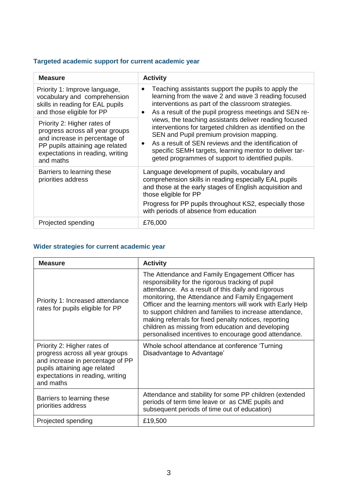## **Targeted academic support for current academic year**

| <b>Measure</b>                                                                                                                                                                      | <b>Activity</b>                                                                                                                                                                                                                                                                                                                                    |  |
|-------------------------------------------------------------------------------------------------------------------------------------------------------------------------------------|----------------------------------------------------------------------------------------------------------------------------------------------------------------------------------------------------------------------------------------------------------------------------------------------------------------------------------------------------|--|
| Priority 1: Improve language,<br>vocabulary and comprehension<br>skills in reading for EAL pupils<br>and those eligible for PP                                                      | Teaching assistants support the pupils to apply the<br>$\bullet$<br>learning from the wave 2 and wave 3 reading focused<br>interventions as part of the classroom strategies.<br>As a result of the pupil progress meetings and SEN re-                                                                                                            |  |
| Priority 2: Higher rates of<br>progress across all year groups<br>and increase in percentage of<br>PP pupils attaining age related<br>expectations in reading, writing<br>and maths | views, the teaching assistants deliver reading focused<br>interventions for targeted children as identified on the<br>SEN and Pupil premium provision mapping.<br>As a result of SEN reviews and the identification of<br>$\bullet$<br>specific SEMH targets, learning mentor to deliver tar-<br>geted programmes of support to identified pupils. |  |
| Barriers to learning these<br>priorities address                                                                                                                                    | Language development of pupils, vocabulary and<br>comprehension skills in reading especially EAL pupils<br>and those at the early stages of English acquisition and<br>those eligible for PP<br>Progress for PP pupils throughout KS2, especially those<br>with periods of absence from education                                                  |  |
| Projected spending                                                                                                                                                                  | £76,000                                                                                                                                                                                                                                                                                                                                            |  |

# **Wider strategies for current academic year**

| <b>Measure</b>                                                                                                                                                                      | <b>Activity</b>                                                                                                                                                                                                                                                                                                                                                                                                                                                                                                  |
|-------------------------------------------------------------------------------------------------------------------------------------------------------------------------------------|------------------------------------------------------------------------------------------------------------------------------------------------------------------------------------------------------------------------------------------------------------------------------------------------------------------------------------------------------------------------------------------------------------------------------------------------------------------------------------------------------------------|
| Priority 1: Increased attendance<br>rates for pupils eligible for PP                                                                                                                | The Attendance and Family Engagement Officer has<br>responsibility for the rigorous tracking of pupil<br>attendance. As a result of this daily and rigorous<br>monitoring, the Attendance and Family Engagement<br>Officer and the learning mentors will work with Early Help<br>to support children and families to increase attendance,<br>making referrals for fixed penalty notices, reporting<br>children as missing from education and developing<br>personalised incentives to encourage good attendance. |
| Priority 2: Higher rates of<br>progress across all year groups<br>and increase in percentage of PP<br>pupils attaining age related<br>expectations in reading, writing<br>and maths | Whole school attendance at conference 'Turning<br>Disadvantage to Advantage'                                                                                                                                                                                                                                                                                                                                                                                                                                     |
| Barriers to learning these<br>priorities address                                                                                                                                    | Attendance and stability for some PP children (extended<br>periods of term time leave or as CME pupils and<br>subsequent periods of time out of education)                                                                                                                                                                                                                                                                                                                                                       |
| Projected spending                                                                                                                                                                  | £19,500                                                                                                                                                                                                                                                                                                                                                                                                                                                                                                          |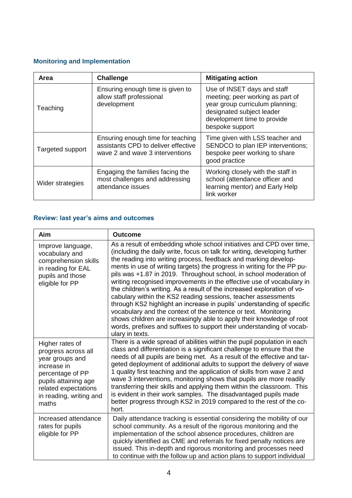## **Monitoring and Implementation**

| <b>Area</b>      | <b>Challenge</b>                                                                                            | <b>Mitigating action</b>                                                                                                                                                          |
|------------------|-------------------------------------------------------------------------------------------------------------|-----------------------------------------------------------------------------------------------------------------------------------------------------------------------------------|
| Teaching         | Ensuring enough time is given to<br>allow staff professional<br>development                                 | Use of INSET days and staff<br>meeting; peer working as part of<br>year group curriculum planning;<br>designated subject leader<br>development time to provide<br>bespoke support |
| Targeted support | Ensuring enough time for teaching<br>assistants CPD to deliver effective<br>wave 2 and wave 3 interventions | Time given with LSS teacher and<br>SENDCO to plan IEP interventions;<br>bespoke peer working to share<br>good practice                                                            |
| Wider strategies | Engaging the families facing the<br>most challenges and addressing<br>attendance issues                     | Working closely with the staff in<br>school (attendance officer and<br>learning mentor) and Early Help<br>link worker                                                             |

## **Review: last year's aims and outcomes**

| Aim                                                                                                                                                                              | <b>Outcome</b>                                                                                                                                                                                                                                                                                                                                                                                                                                                                                                                                                                                                                                                                                                                                                                                                                                                                                              |
|----------------------------------------------------------------------------------------------------------------------------------------------------------------------------------|-------------------------------------------------------------------------------------------------------------------------------------------------------------------------------------------------------------------------------------------------------------------------------------------------------------------------------------------------------------------------------------------------------------------------------------------------------------------------------------------------------------------------------------------------------------------------------------------------------------------------------------------------------------------------------------------------------------------------------------------------------------------------------------------------------------------------------------------------------------------------------------------------------------|
| Improve language,<br>vocabulary and<br>comprehension skills<br>in reading for EAL<br>pupils and those<br>eligible for PP                                                         | As a result of embedding whole school initiatives and CPD over time,<br>(including the daily write, focus on talk for writing, developing further<br>the reading into writing process, feedback and marking develop-<br>ments in use of writing targets) the progress in writing for the PP pu-<br>pils was +1.87 in 2019. Throughout school, in school moderation of<br>writing recognised improvements in the effective use of vocabulary in<br>the children's writing. As a result of the increased exploration of vo-<br>cabulary within the KS2 reading sessions, teacher assessments<br>through KS2 highlight an increase in pupils' understanding of specific<br>vocabulary and the context of the sentence or text. Monitoring<br>shows children are increasingly able to apply their knowledge of root<br>words, prefixes and suffixes to support their understanding of vocab-<br>ulary in texts. |
| Higher rates of<br>progress across all<br>year groups and<br>increase in<br>percentage of PP<br>pupils attaining age<br>related expectations<br>in reading, writing and<br>maths | There is a wide spread of abilities within the pupil population in each<br>class and differentiation is a significant challenge to ensure that the<br>needs of all pupils are being met. As a result of the effective and tar-<br>geted deployment of additional adults to support the delivery of wave<br>1 quality first teaching and the application of skills from wave 2 and<br>wave 3 interventions, monitoring shows that pupils are more readily<br>transferring their skills and applying them within the classroom. This<br>is evident in their work samples. The disadvantaged pupils made<br>better progress through KS2 in 2019 compared to the rest of the co-<br>hort.                                                                                                                                                                                                                       |
| Increased attendance<br>rates for pupils<br>eligible for PP                                                                                                                      | Daily attendance tracking is essential considering the mobility of our<br>school community. As a result of the rigorous monitoring and the<br>implementation of the school absence procedures, children are<br>quickly identified as CME and referrals for fixed penalty notices are<br>issued. This in-depth and rigorous monitoring and processes need<br>to continue with the follow up and action plans to support individual                                                                                                                                                                                                                                                                                                                                                                                                                                                                           |